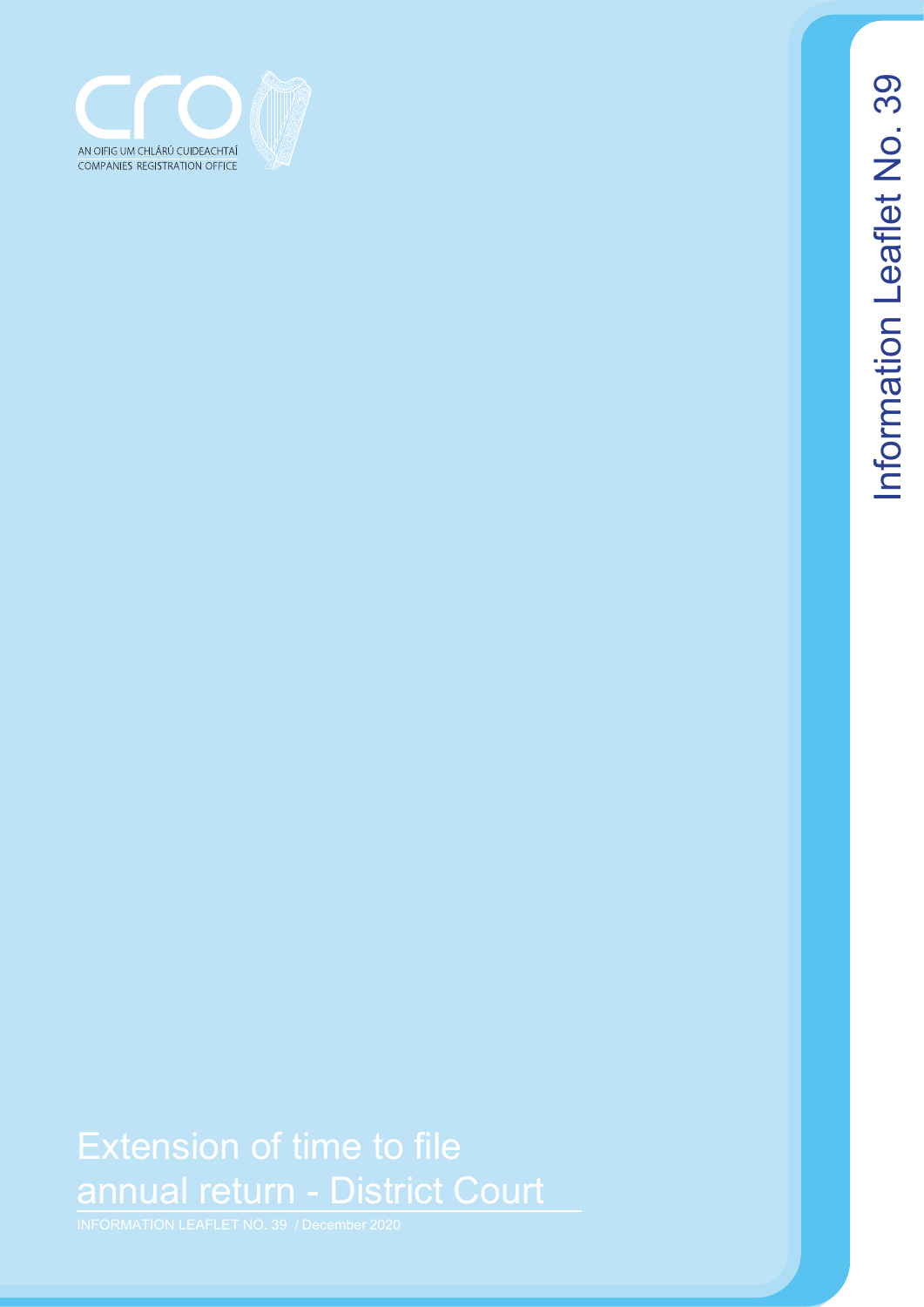

# Extension of time to file annual return - District Court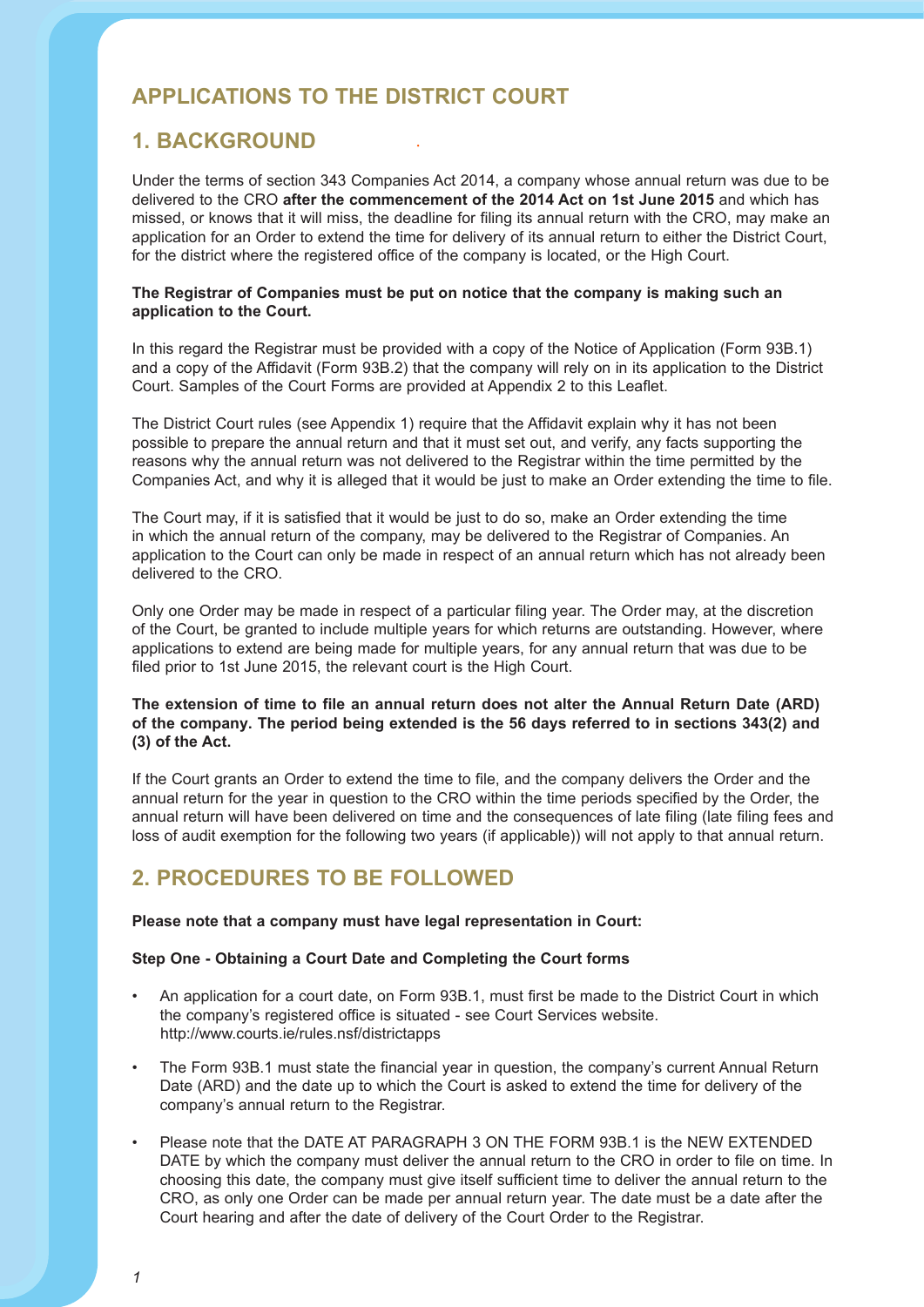# **Applications to the District Court**

### **1. Background**

Under the terms of section 343 Companies Act 2014, a company whose annual return was due to be delivered to the CRO **after the commencement of the 2014 Act on 1st June 2015** and which has missed, or knows that it will miss, the deadline for filing its annual return with the CRO, may make an application for an Order to extend the time for delivery of its annual return to either the District Court, for the district where the registered office of the company is located, or the High Court.

#### **The Registrar of Companies must be put on notice that the company is making such an application to the Court.**

In this regard the Registrar must be provided with a copy of the Notice of Application (Form 93B.1) and a copy of the Affidavit (Form 93B.2) that the company will rely on in its application to the District Court. Samples of the Court Forms are provided at Appendix 2 to this Leaflet.

The District Court rules (see Appendix 1) require that the Affidavit explain why it has not been possible to prepare the annual return and that it must set out, and verify, any facts supporting the reasons why the annual return was not delivered to the Registrar within the time permitted by the Companies Act, and why it is alleged that it would be just to make an Order extending the time to file.

The Court may, if it is satisfied that it would be just to do so, make an Order extending the time in which the annual return of the company, may be delivered to the Registrar of Companies. An application to the Court can only be made in respect of an annual return which has not already been delivered to the CRO.

Only one Order may be made in respect of a particular filing year. The Order may, at the discretion of the Court, be granted to include multiple years for which returns are outstanding. However, where applications to extend are being made for multiple years, for any annual return that was due to be filed prior to 1st June 2015, the relevant court is the High Court.

#### The extension of time to file an annual return does not alter the Annual Return Date (ARD) **of the company. the period being extended is the 56 days referred to in sections 343(2) and (3) of the Act.**

If the Court grants an Order to extend the time to file, and the company delivers the Order and the annual return for the year in question to the CRO within the time periods specified by the Order, the annual return will have been delivered on time and the consequences of late filing (late filing fees and loss of audit exemption for the following two years (if applicable)) will not apply to that annual return.

# **2. Procedures to be followed**

#### **Please note that a company must have legal representation in Court:**

#### **Step One - Obtaining a Court Date and Completing the Court forms**

- An application for a court date, on Form 93B.1, must first be made to the District Court in which the company's registered office is situated - see Court Services website. http://www.courts.ie/rules.nsf/districtapps
- The Form 93B.1 must state the financial year in question, the company's current Annual Return Date (ARD) and the date up to which the Court is asked to extend the time for delivery of the company's annual return to the Registrar.
- Please note that the DATE AT PARAGRAPH 3 ON THE FORM 93B.1 is the NEW EXTENDED DATE by which the company must deliver the annual return to the CRO in order to file on time. In choosing this date, the company must give itself sufficient time to deliver the annual return to the CRO, as only one Order can be made per annual return year. The date must be a date after the Court hearing and after the date of delivery of the Court Order to the Registrar.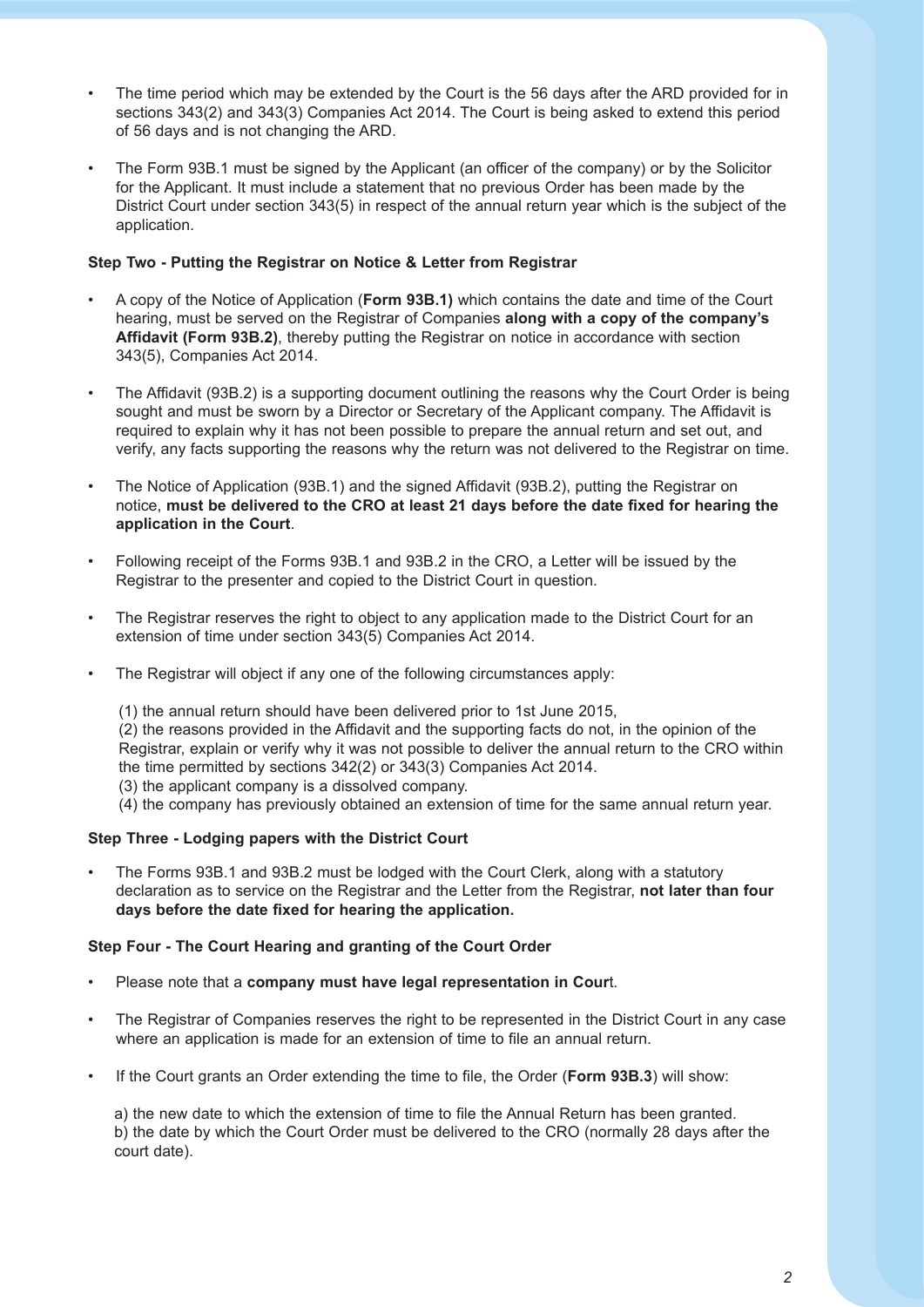- The time period which may be extended by the Court is the 56 days after the ARD provided for in sections 343(2) and 343(3) Companies Act 2014. The Court is being asked to extend this period of 56 days and is not changing the ARD.
- The Form 93B.1 must be signed by the Applicant (an officer of the company) or by the Solicitor for the Applicant. It must include a statement that no previous Order has been made by the District Court under section 343(5) in respect of the annual return year which is the subject of the application.

#### **Step Two - Putting the Registrar on Notice & Letter from Registrar**

- A copy of the Notice of Application (**Form 93B.1)** which contains the date and time of the Court hearing, must be served on the Registrar of Companies **along with a copy of the company's Affidavit (Form 93B.2)**, thereby putting the Registrar on notice in accordance with section 343(5), Companies Act 2014.
- The Affidavit (93B.2) is a supporting document outlining the reasons why the Court Order is being sought and must be sworn by a Director or Secretary of the Applicant company. The Affidavit is required to explain why it has not been possible to prepare the annual return and set out, and verify, any facts supporting the reasons why the return was not delivered to the Registrar on time.
- The Notice of Application (93B.1) and the signed Affidavit (93B.2), putting the Registrar on notice, **must be delivered to the CRO at least 21 days before the date fixed for hearing the application in the Court**.
- Following receipt of the Forms 93B.1 and 93B.2 in the CRO, a Letter will be issued by the Registrar to the presenter and copied to the District Court in question.
- The Registrar reserves the right to object to any application made to the District Court for an extension of time under section 343(5) Companies Act 2014.
- The Registrar will object if any one of the following circumstances apply:
	- (1) the annual return should have been delivered prior to 1st June 2015, (2) the reasons provided in the Affidavit and the supporting facts do not, in the opinion of the Registrar, explain or verify why it was not possible to deliver the annual return to the CRO within the time permitted by sections 342(2) or 343(3) Companies Act 2014. (3) the applicant company is a dissolved company.
	- (4) the company has previously obtained an extension of time for the same annual return year.

#### **Step Three - Lodging papers with the District Court**

• The Forms 93B.1 and 93B.2 must be lodged with the Court Clerk, along with a statutory declaration as to service on the Registrar and the Letter from the Registrar, **not later than four days before the date fixed for hearing the application.**

#### **Step Four - The Court Hearing and granting of the Court Order**

- Please note that a **company must have legal representation in Cour**t.
- The Registrar of Companies reserves the right to be represented in the District Court in any case where an application is made for an extension of time to file an annual return.
- If the Court grants an Order extending the time to file, the Order (**Form 93B.3**) will show:

a) the new date to which the extension of time to file the Annual Return has been granted. b) the date by which the Court Order must be delivered to the CRO (normally 28 days after the court date).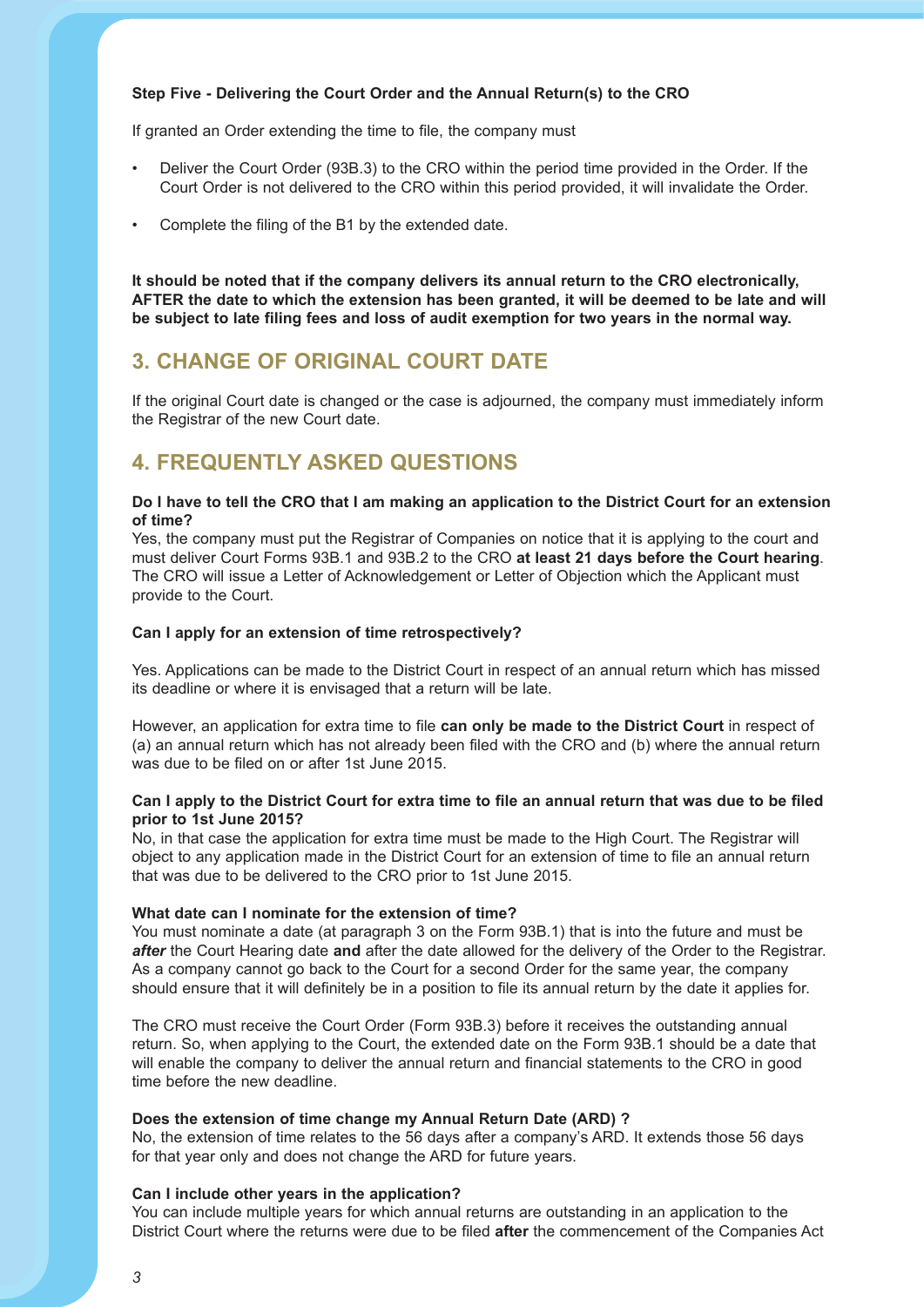#### **Step Five - Delivering the Court Order and the Annual Return(s) to the CRO**

If granted an Order extending the time to file, the company must

- Deliver the Court Order (93B.3) to the CRO within the period time provided in the Order. If the Court Order is not delivered to the CRO within this period provided, it will invalidate the Order.
- Complete the filing of the B1 by the extended date.

**It should be noted that if the company delivers its annual return to the CRO electronically, AFTER the date to which the extension has been granted, it will be deemed to be late and will be subject to late filing fees and loss of audit exemption for two years in the normal way.** 

### **3. Change of original Court date**

If the original Court date is changed or the case is adjourned, the company must immediately inform the Registrar of the new Court date.

### **4. Frequently Asked Questions**

#### **Do I have to tell the CRO that I am making an application to the District Court for an extension of time?**

Yes, the company must put the Registrar of Companies on notice that it is applying to the court and must deliver Court Forms 93B.1 and 93B.2 to the CRO **at least 21 days before the Court hearing**. The CRO will issue a Letter of Acknowledgement or Letter of Objection which the Applicant must provide to the Court.

#### **Can I apply for an extension of time retrospectively?**

Yes. Applications can be made to the District Court in respect of an annual return which has missed its deadline or where it is envisaged that a return will be late.

However, an application for extra time to file **can only be made to the District Court** in respect of (a) an annual return which has not already been filed with the CRO and (b) where the annual return was due to be filed on or after 1st June 2015.

#### **Can I apply to the District Court for extra time to file an annual return that was due to be filed prior to 1st June 2015?**

No, in that case the application for extra time must be made to the High Court. The Registrar will object to any application made in the District Court for an extension of time to file an annual return that was due to be delivered to the CRO prior to 1st June 2015.

#### **What date can I nominate for the extension of time?**

You must nominate a date (at paragraph 3 on the Form 93B.1) that is into the future and must be *after* the Court Hearing date **and** after the date allowed for the delivery of the Order to the Registrar. As a company cannot go back to the Court for a second Order for the same year, the company should ensure that it will definitely be in a position to file its annual return by the date it applies for.

The CRO must receive the Court Order (Form 93B.3) before it receives the outstanding annual return. So, when applying to the Court, the extended date on the Form 93B.1 should be a date that will enable the company to deliver the annual return and financial statements to the CRO in good time before the new deadline.

#### **Does the extension of time change my Annual Return Date (ARD)?**

No, the extension of time relates to the 56 days after a company's ARD. It extends those 56 days for that year only and does not change the ARD for future years.

#### **Can I include other years in the application?**

You can include multiple years for which annual returns are outstanding in an application to the District Court where the returns were due to be filed **after** the commencement of the Companies Act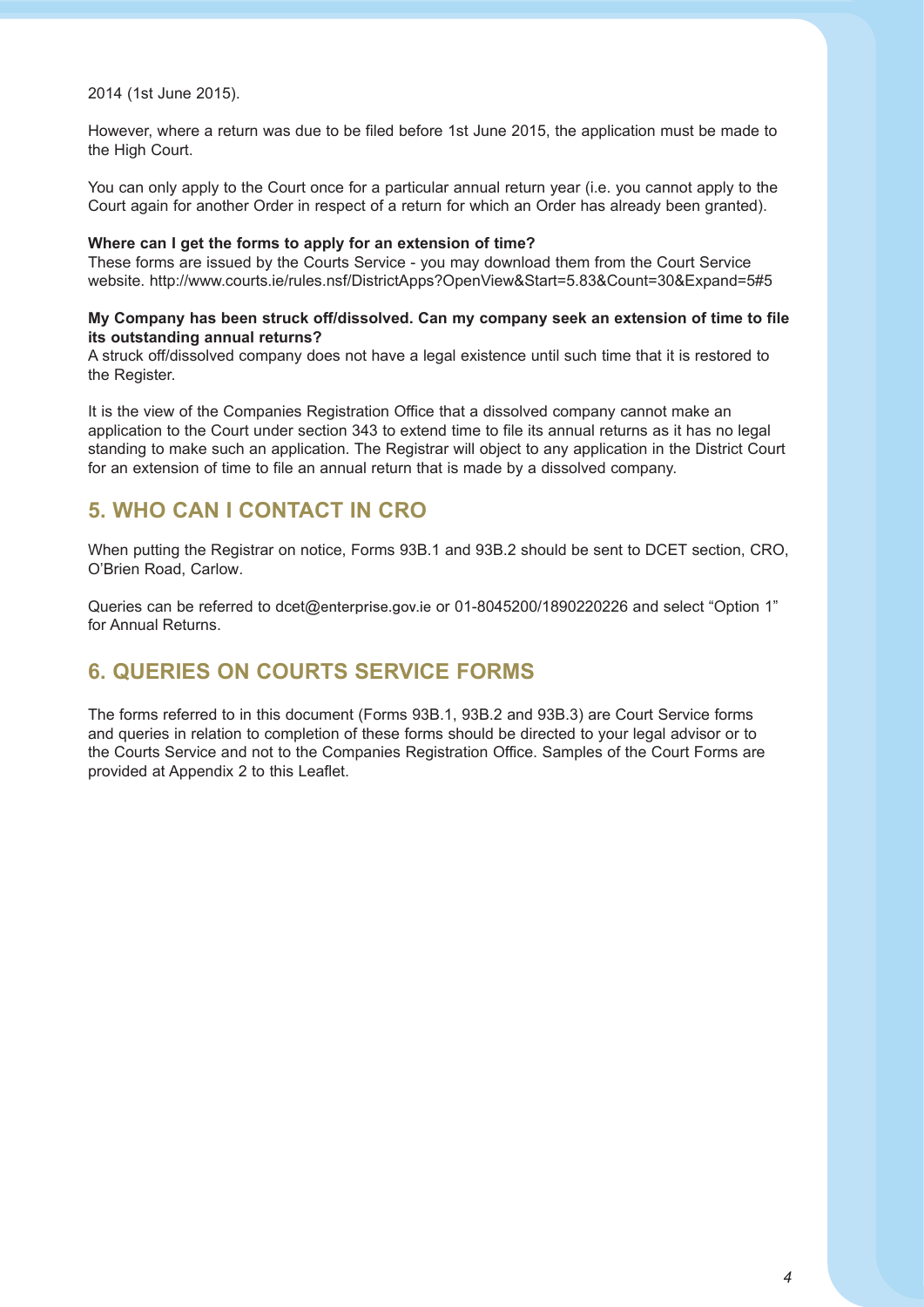2014 (1st June 2015).

However, where a return was due to be filed before 1st June 2015, the application must be made to the High Court.

You can only apply to the Court once for a particular annual return year (i.e. you cannot apply to the Court again for another Order in respect of a return for which an Order has already been granted).

#### **where can i get the forms to apply for an extension of time?**

These forms are issued by the Courts Service - you may download them from the Court Service website. http://www.courts.ie/rules.nsf/DistrictApps?OpenView&Start=5.83&Count=30&Expand=5#5

#### **My company has been struck off/dissolved. can my company seek an extension of time to file its outstanding annual returns?**

A struck off/dissolved company does not have a legal existence until such time that it is restored to the Register.

It is the view of the Companies Registration Office that a dissolved company cannot make an application to the Court under section 343 to extend time to file its annual returns as it has no legal standing to make such an application. The Registrar will object to any application in the District Court for an extension of time to file an annual return that is made by a dissolved company.

## **5. who cAn i contAct in cro**

When putting the Registrar on notice, Forms 93B.1 and 93B.2 should be sent to DCET section, CRO, O'Brien Road, Carlow.

Queries can be referred to dcet@enterprise.gov.ie or 01-8045200/1890220226 and select "Option 1" for Annual Returns.

# **6. queries on courts serVice forMs**

The forms referred to in this document (Forms 93B.1, 93B.2 and 93B.3) are Court Service forms and queries in relation to completion of these forms should be directed to your legal advisor or to the Courts Service and not to the Companies Registration Office. Samples of the Court Forms are provided at Appendix 2 to this Leaflet.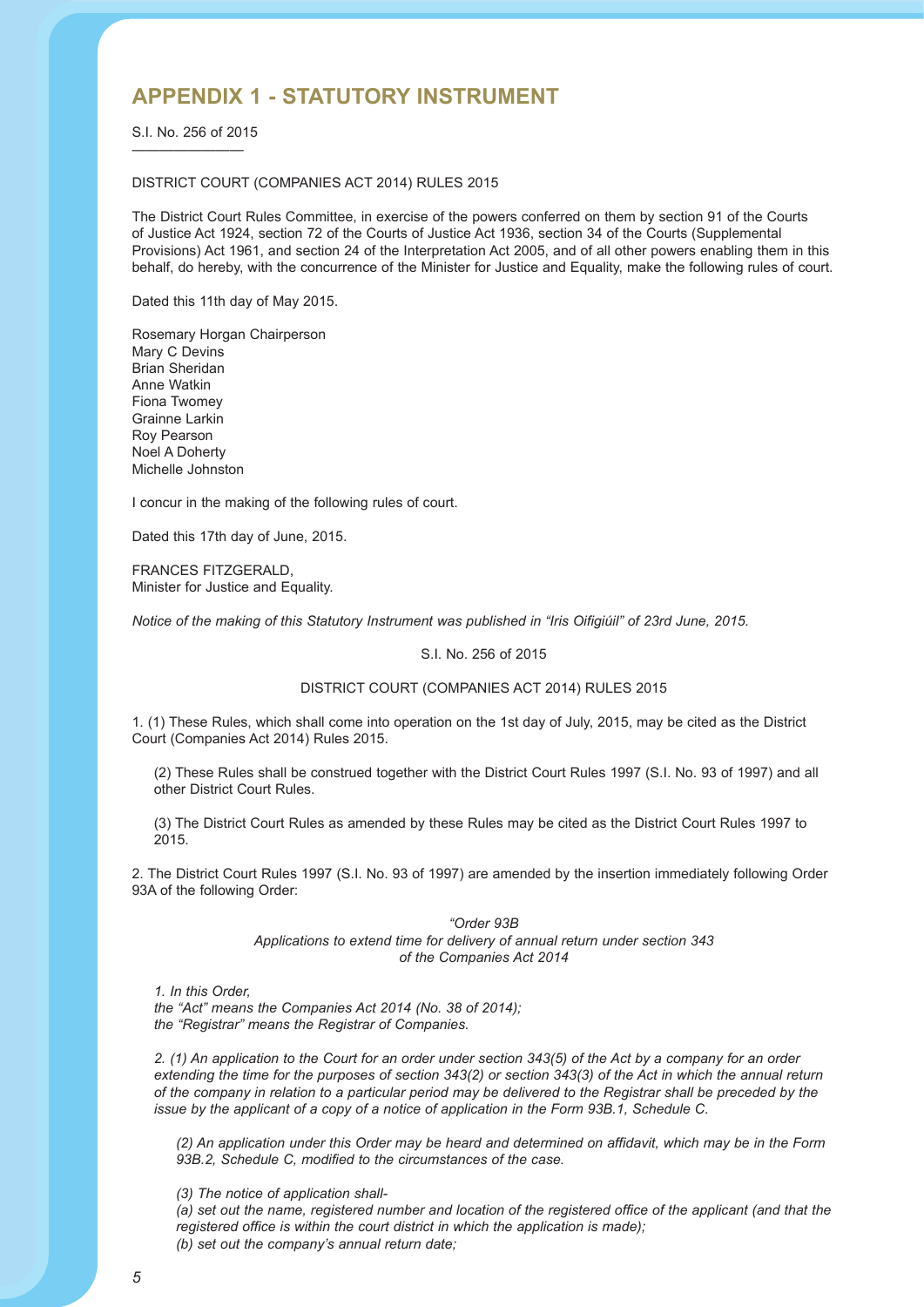## **APPENDIX 1 - STATUTORY INSTRUMENT**

S.I. No. 256 of 2015 ————————

#### DISTRICT COURT (COMPANIES ACT 2014) RULES 2015

The District Court Rules Committee, in exercise of the powers conferred on them by section 91 of the Courts of Justice Act 1924, section 72 of the Courts of Justice Act 1936, section 34 of the Courts (Supplemental Provisions) Act 1961, and section 24 of the Interpretation Act 2005, and of all other powers enabling them in this behalf, do hereby, with the concurrence of the Minister for Justice and Equality, make the following rules of court.

Dated this 11th day of May 2015.

Rosemary Horgan Chairperson Mary C Devins Brian Sheridan Anne Watkin Fiona Twomey Grainne Larkin Roy Pearson Noel A Doherty Michelle Johnston

I concur in the making of the following rules of court.

Dated this 17th day of June, 2015.

FRANCES FITZGERALD, Minister for Justice and Equality.

*Notice of the making of this Statutory Instrument was published in "Iris Oifigiúil" of 23rd June, 2015.*

#### S.I. No. 256 of 2015

#### DISTRICT COURT (COMPANIES ACT 2014) RULES 2015

1. (1) These Rules, which shall come into operation on the 1st day of July, 2015, may be cited as the District Court (Companies Act 2014) Rules 2015.

(2) These Rules shall be construed together with the District Court Rules 1997 (S.I. No. 93 of 1997) and all other District Court Rules.

(3) The District Court Rules as amended by these Rules may be cited as the District Court Rules 1997 to 2015.

2. The District Court Rules 1997 (S.I. No. 93 of 1997) are amended by the insertion immediately following Order 93A of the following Order:

> *"Order 93B Applications to extend time for delivery of annual return under section 343 of the Companies Act 2014*

*1. In this Order,*

*the "Act" means the Companies Act 2014 (No. 38 of 2014); the "Registrar" means the Registrar of Companies.*

*2. (1) An application to the Court for an order under section 343(5) of the Act by a company for an order extending the time for the purposes of section 343(2) or section 343(3) of the Act in which the annual return of the company in relation to a particular period may be delivered to the Registrar shall be preceded by the issue by the applicant of a copy of a notice of application in the Form 93B.1, Schedule C.*

*(2) An application under this Order may be heard and determined on affidavit, which may be in the Form 93B.2, Schedule C, modified to the circumstances of the case.*

*(3) The notice of application shall-*

*(a) set out the name, registered number and location of the registered office of the applicant (and that the registered office is within the court district in which the application is made);*

*(b) set out the company's annual return date;*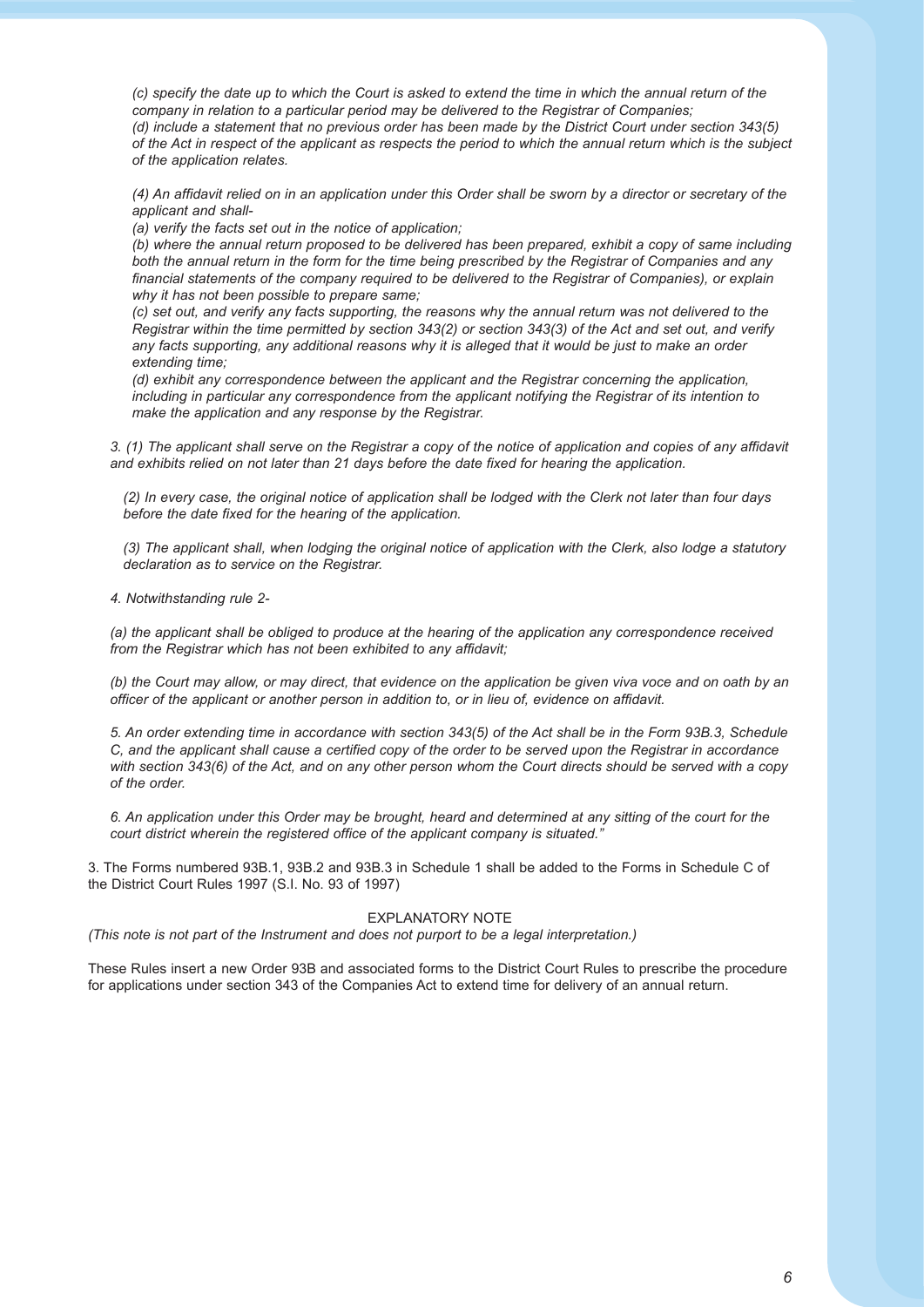*(c) specify the date up to which the Court is asked to extend the time in which the annual return of the company in relation to a particular period may be delivered to the Registrar of Companies; (d) include a statement that no previous order has been made by the District Court under section 343(5) of the Act in respect of the applicant as respects the period to which the annual return which is the subject of the application relates.*

*(4) An affidavit relied on in an application under this Order shall be sworn by a director or secretary of the applicant and shall-*

*(a) verify the facts set out in the notice of application;*

*(b) where the annual return proposed to be delivered has been prepared, exhibit a copy of same including both the annual return in the form for the time being prescribed by the Registrar of Companies and any financial statements of the company required to be delivered to the Registrar of Companies), or explain why it has not been possible to prepare same;*

*(c) set out, and verify any facts supporting, the reasons why the annual return was not delivered to the Registrar within the time permitted by section 343(2) or section 343(3) of the Act and set out, and verify any facts supporting, any additional reasons why it is alleged that it would be just to make an order extending time;*

*(d) exhibit any correspondence between the applicant and the Registrar concerning the application, including in particular any correspondence from the applicant notifying the Registrar of its intention to make the application and any response by the Registrar.*

*3. (1) The applicant shall serve on the Registrar a copy of the notice of application and copies of any affidavit and exhibits relied on not later than 21 days before the date fixed for hearing the application.*

*(2) In every case, the original notice of application shall be lodged with the Clerk not later than four days before the date fixed for the hearing of the application.*

*(3) The applicant shall, when lodging the original notice of application with the Clerk, also lodge a statutory declaration as to service on the Registrar.*

*4. Notwithstanding rule 2-*

*(a) the applicant shall be obliged to produce at the hearing of the application any correspondence received from the Registrar which has not been exhibited to any affidavit;*

*(b) the Court may allow, or may direct, that evidence on the application be given viva voce and on oath by an officer of the applicant or another person in addition to, or in lieu of, evidence on affidavit.*

*5. An order extending time in accordance with section 343(5) of the Act shall be in the Form 93B.3, Schedule C, and the applicant shall cause a certified copy of the order to be served upon the Registrar in accordance with section 343(6) of the Act, and on any other person whom the Court directs should be served with a copy of the order.*

*6. An application under this Order may be brought, heard and determined at any sitting of the court for the court district wherein the registered office of the applicant company is situated."*

3. The Forms numbered 93B.1, 93B.2 and 93B.3 in Schedule 1 shall be added to the Forms in Schedule C of the District Court Rules 1997 (S.I. No. 93 of 1997)

#### EXPLANATORY NOTE

*(This note is not part of the Instrument and does not purport to be a legal interpretation.)*

These Rules insert a new Order 93B and associated forms to the District Court Rules to prescribe the procedure for applications under section 343 of the Companies Act to extend time for delivery of an annual return.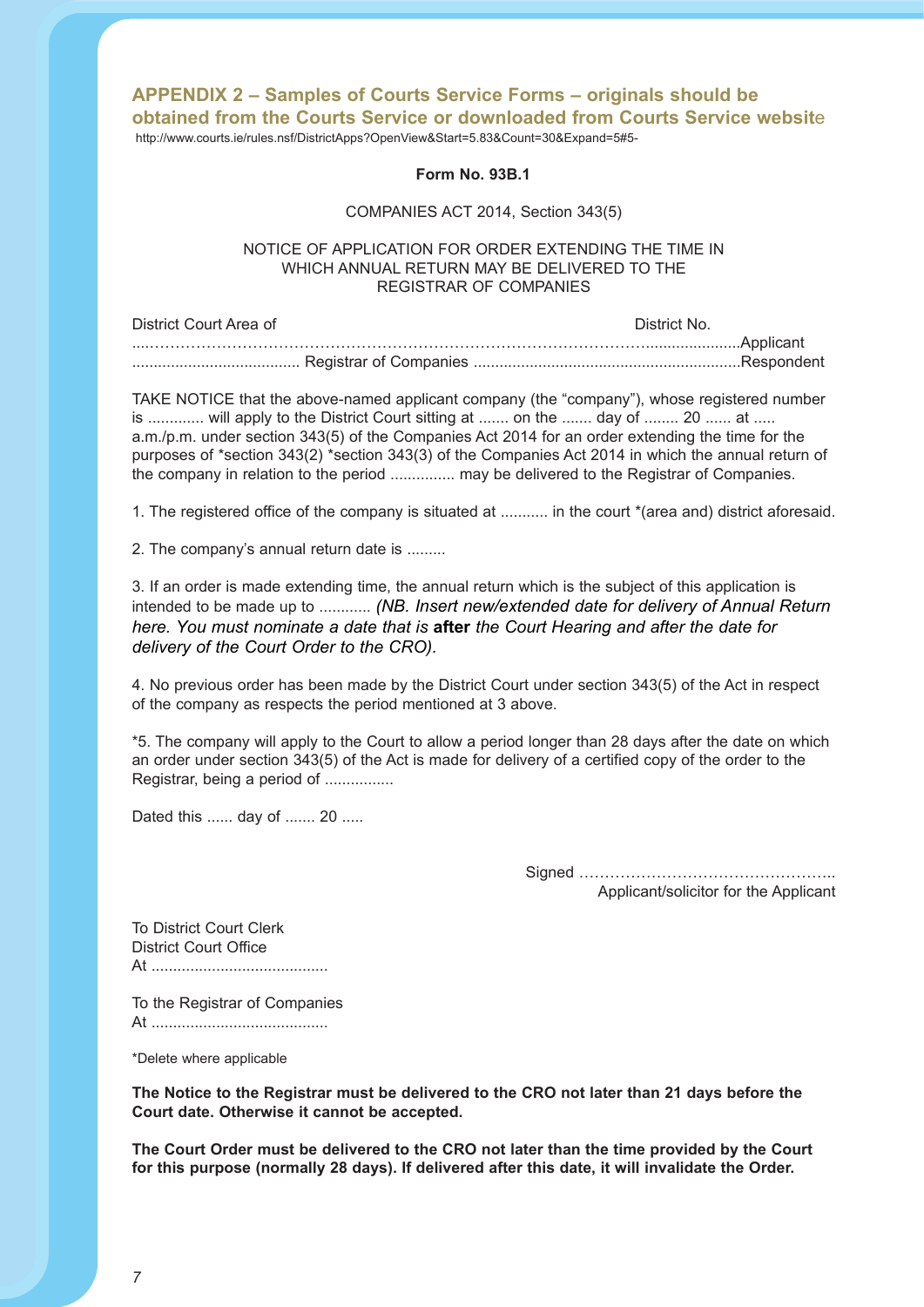# **APPENDIX 2 – Samples of Courts Service Forms – originals should be obtained from the Courts Service or downloaded from Courts Service websit**e

http://www.courts.ie/rules.nsf/DistrictApps?OpenView&Start=5.83&Count=30&Expand=5#5-

#### **Form No. 93B.1**

#### COMPANIES ACT 2014, Section 343(5)

#### NOTICE OF APPLICATION FOR ORDER EXTENDING THE TIME IN WHICH ANNUAL RETURN MAY BE DELIVERED TO THE REGISTRAR OF COMPANIES

| District Court Area of | District No. |
|------------------------|--------------|
|                        |              |
|                        |              |

TAKE NOTICE that the above-named applicant company (the "company"), whose registered number is ............. will apply to the District Court sitting at ....... on the ....... day of ........ 20 ...... at ..... a.m./p.m. under section 343(5) of the Companies Act 2014 for an order extending the time for the purposes of \*section 343(2) \*section 343(3) of the Companies Act 2014 in which the annual return of the company in relation to the period ............... may be delivered to the Registrar of Companies.

1. The registered office of the company is situated at ........... in the court \*(area and) district aforesaid.

2. The company's annual return date is .........

3. If an order is made extending time, the annual return which is the subject of this application is intended to be made up to ............ *(NB. Insert new/extended date for delivery of Annual Return here. You must nominate a date that is* **after** *the Court Hearing and after the date for delivery of the Court Order to the CRO).*

4. No previous order has been made by the District Court under section 343(5) of the Act in respect of the company as respects the period mentioned at 3 above.

\*5. The company will apply to the Court to allow a period longer than 28 days after the date on which an order under section 343(5) of the Act is made for delivery of a certified copy of the order to the Registrar, being a period of ................

Dated this ...... day of ....... 20 .....

Signed ………………………………………….. Applicant/solicitor for the Applicant

To District Court Clerk District Court Office At .........................................

To the Registrar of Companies At .........................................

\*Delete where applicable

**The Notice to the Registrar must be delivered to the CRO not later than 21 days before the Court date. Otherwise it cannot be accepted.** 

**The Court Order must be delivered to the CRO not later than the time provided by the Court for this purpose (normally 28 days). If delivered after this date, it will invalidate the Order.**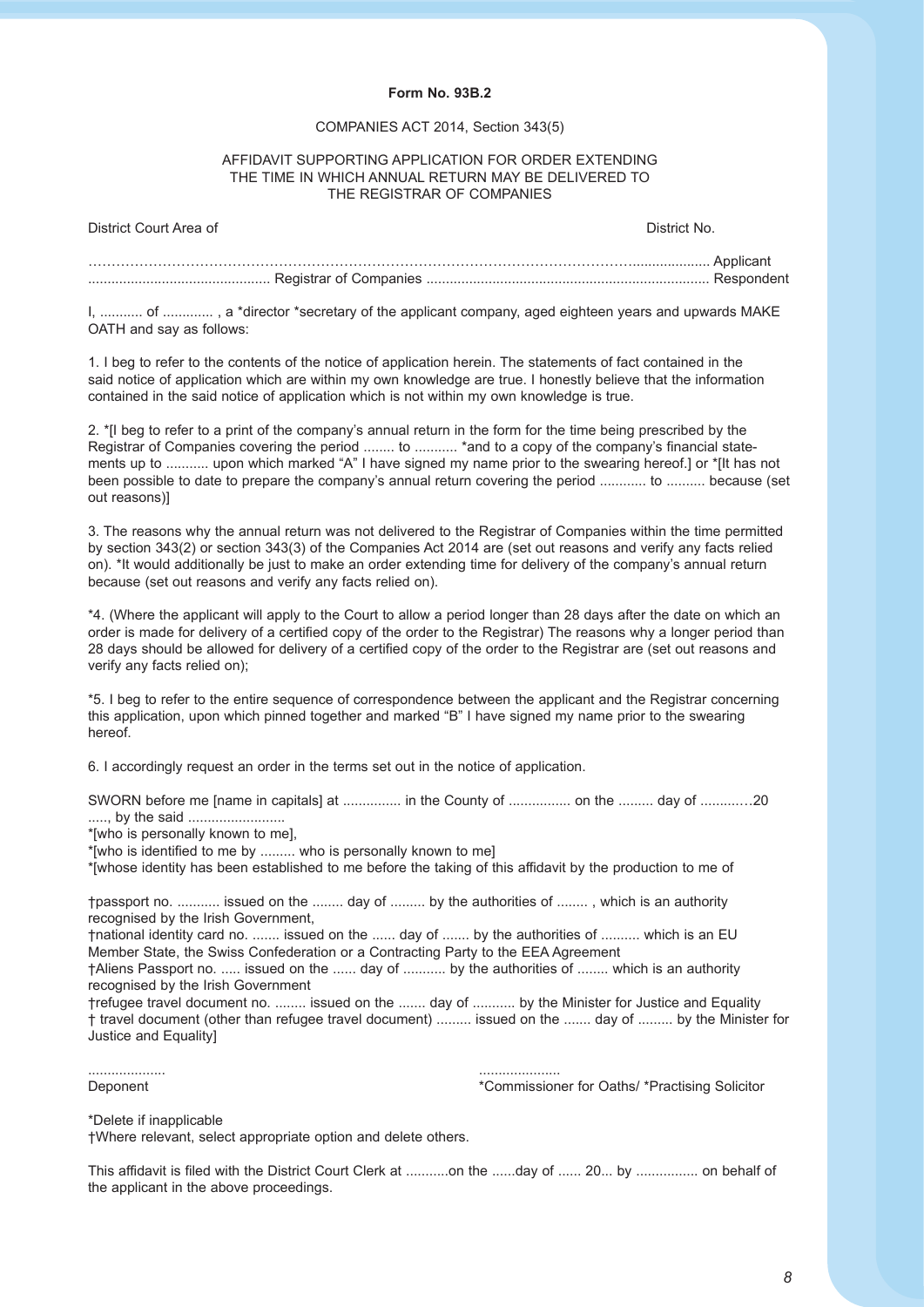#### **Form No. 93B.2**

#### COMPANIES ACT 2014, Section 343(5)

#### AFFIDAVIT SUPPORTING APPLICATION FOR ORDER EXTENDING THE TIME IN WHICH ANNUAL RETURN MAY BE DELIVERED TO THE REGISTRAR OF COMPANIES

| District Court Area of | District No. |
|------------------------|--------------|
|                        |              |
|                        |              |

I, ........... of ............. , a \*director \*secretary of the applicant company, aged eighteen years and upwards MAKE OATH and say as follows:

1. I beg to refer to the contents of the notice of application herein. The statements of fact contained in the said notice of application which are within my own knowledge are true. I honestly believe that the information contained in the said notice of application which is not within my own knowledge is true.

2. \*[I beg to refer to a print of the company's annual return in the form for the time being prescribed by the Registrar of Companies covering the period ........ to ........... \*and to a copy of the company's financial statements up to ........... upon which marked "A" I have signed my name prior to the swearing hereof.] or \*[It has not been possible to date to prepare the company's annual return covering the period ............ to .......... because (set out reasons)]

3. The reasons why the annual return was not delivered to the Registrar of Companies within the time permitted by section 343(2) or section 343(3) of the Companies Act 2014 are (set out reasons and verify any facts relied on). \*It would additionally be just to make an order extending time for delivery of the company's annual return because (set out reasons and verify any facts relied on).

\*4. (Where the applicant will apply to the Court to allow a period longer than 28 days after the date on which an order is made for delivery of a certified copy of the order to the Registrar) The reasons why a longer period than 28 days should be allowed for delivery of a certified copy of the order to the Registrar are (set out reasons and verify any facts relied on);

\*5. I beg to refer to the entire sequence of correspondence between the applicant and the Registrar concerning this application, upon which pinned together and marked "B" I have signed my name prior to the swearing hereof.

6. I accordingly request an order in the terms set out in the notice of application.

| SWORN before me [name in capitals] at  in the County of  on the  day of 20                                                                                                     |  |  |
|--------------------------------------------------------------------------------------------------------------------------------------------------------------------------------|--|--|
| *[who is personally known to me].                                                                                                                                              |  |  |
| *[who is identified to me by  who is personally known to me]                                                                                                                   |  |  |
| *[whose identity has been established to me before the taking of this affidavit by the production to me of                                                                     |  |  |
| t passport no.  issued on the  day of  by the authorities of , which is an authority<br>recognised by the Irish Government,                                                    |  |  |
| thational identity card no.  issued on the  day of  by the authorities of  which is an EU<br>Member State, the Swiss Confederation or a Contracting Party to the EEA Agreement |  |  |
| †Aliens Passport no.  issued on the  day of  by the authorities of  which is an authority<br>recognised by the Irish Government                                                |  |  |
| trefugee travel document no.  issued on the  day of  by the Minister for Justice and Equality                                                                                  |  |  |
| † travel document (other than refugee travel document)  issued on the  day of  by the Minister for<br>Justice and Equality                                                     |  |  |

| Denonent | `ommiccion<br> |
|----------|----------------|

Deponent \*Commissioner for Oaths/ \*Practising Solicitor

\*Delete if inapplicable

†Where relevant, select appropriate option and delete others.

This affidavit is filed with the District Court Clerk at ...........on the ......day of ...... 20... by ................ on behalf of the applicant in the above proceedings.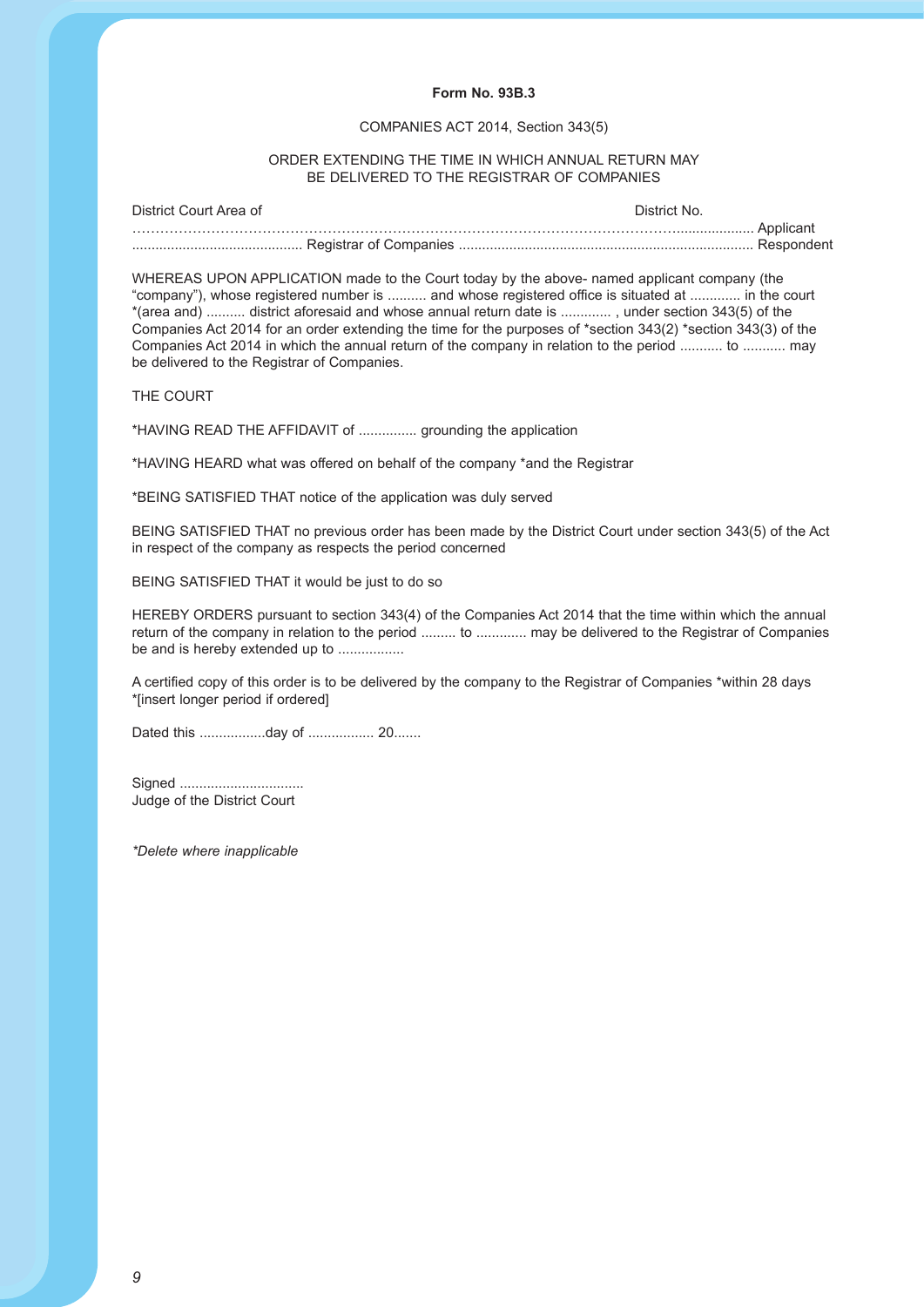#### **Form No. 93B.3**

#### COMPANIES ACT 2014, Section 343(5)

#### ORDER EXTENDING THE TIME IN WHICH ANNUAL RETURN MAY BE DELIVERED TO THE REGISTRAR OF COMPANIES

| District Court Area of | District No. |
|------------------------|--------------|
|                        |              |
|                        |              |

WHEREAS UPON APPLICATION made to the Court today by the above- named applicant company (the "company"), whose registered number is .......... and whose registered office is situated at ............. in the court \*(area and) .......... district aforesaid and whose annual return date is ............. , under section 343(5) of the Companies Act 2014 for an order extending the time for the purposes of \*section 343(2) \*section 343(3) of the Companies Act 2014 in which the annual return of the company in relation to the period ........... to ........... may be delivered to the Registrar of Companies.

THE COURT

\*HAVING READ THE AFFIDAVIT of ............... grounding the application

\*HAVING HEARD what was offered on behalf of the company \*and the Registrar

\*BEING SATISFIED THAT notice of the application was duly served

BEING SATISFIED THAT no previous order has been made by the District Court under section 343(5) of the Act in respect of the company as respects the period concerned

BEING SATISFIED THAT it would be just to do so

HEREBY ORDERS pursuant to section 343(4) of the Companies Act 2014 that the time within which the annual return of the company in relation to the period ......... to ............. may be delivered to the Registrar of Companies be and is hereby extended up to ..................

A certified copy of this order is to be delivered by the company to the Registrar of Companies \*within 28 days \*[insert longer period if ordered]

Dated this .................day of ................. 20.......

Signed ................................ Judge of the District Court

*\*Delete where inapplicable*